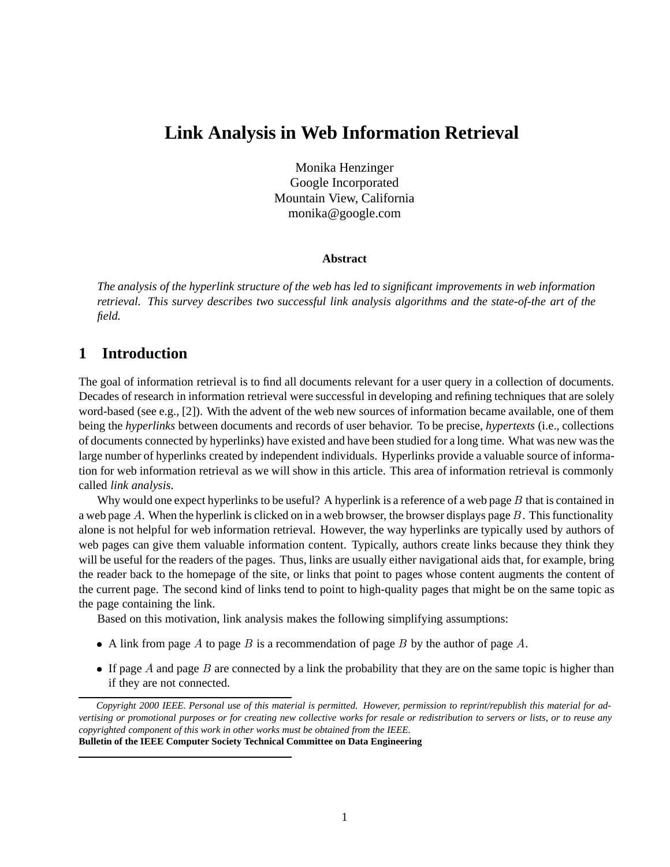# **Link Analysis in Web Information Retrieval**

Monika Henzinger Google Incorporated Mountain View, California monika@google.com

#### **Abstract**

*The analysis of the hyperlink structure of the web has led to significant improvements in web information retrieval. This survey describes two successful link analysis algorithms and the state-of-the art of the field.*

# **1 Introduction**

The goal of information retrieval is to find all documents relevant for a user query in a collection of documents. Decades of research in information retrieval were successful in developing and refining techniques that are solely word-based (see e.g., [2]). With the advent of the web new sources of information became available, one of them being the *hyperlinks* between documents and records of user behavior. To be precise, *hypertexts* (i.e., collections of documents connected by hyperlinks) have existed and have been studied for a long time. What was new was the large number of hyperlinks created by independent individuals. Hyperlinks provide a valuable source of information for web information retrieval as we will show in this article. This area of information retrieval is commonly called *link analysis*.

Why would one expect hyperlinks to be useful? A hyperlink is a reference of a web page  $B$  that is contained in a web page A. When the hyperlink is clicked on in a web browser, the browser displays page  $B$ . This functionality alone is not helpful for web information retrieval. However, the way hyperlinks are typically used by authors of web pages can give them valuable information content. Typically, authors create links because they think they will be useful for the readers of the pages. Thus, links are usually either navigational aids that, for example, bring the reader back to the homepage of the site, or links that point to pages whose content augments the content of the current page. The second kind of links tend to point to high-quality pages that might be on the same topic as the page containing the link.

Based on this motivation, link analysis makes the following simplifying assumptions:

- A link from page A to page B is a recommendation of page B by the author of page A.
- If page  $A$  and page  $B$  are connected by a link the probability that they are on the same topic is higher than if they are not connected.

*Copyright 2000 IEEE. Personal use of this material is permitted. However, permission to reprint/republish this material for advertising or promotional purposes or for creating new collective works for resale or redistribution to servers or lists, or to reuse any copyrighted component of this work in other works must be obtained from the IEEE.* **Bulletin of the IEEE Computer Society Technical Committee on Data Engineering**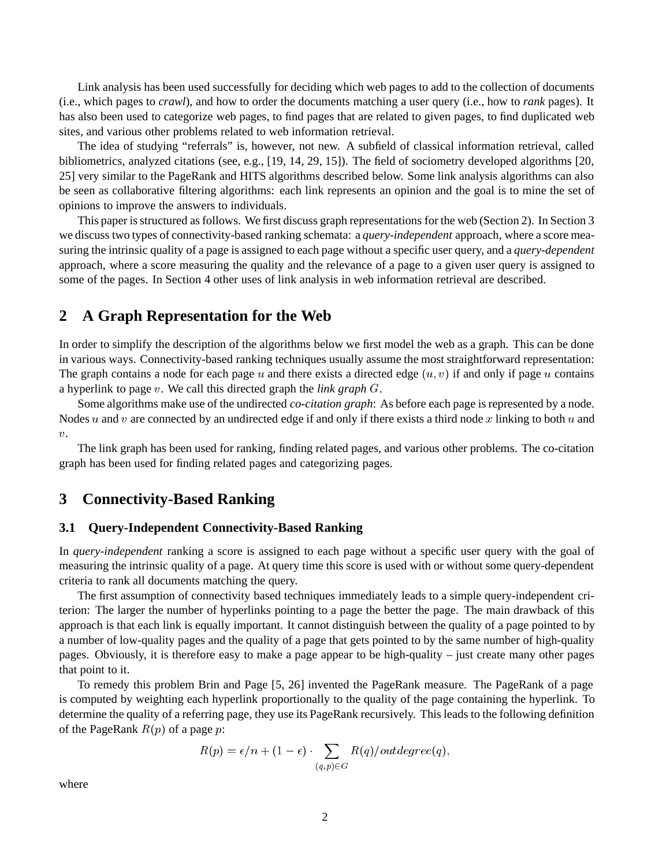Link analysis has been used successfully for deciding which web pages to add to the collection of documents (i.e., which pages to *crawl*), and how to order the documents matching a user query (i.e., how to *rank* pages). It has also been used to categorize web pages, to find pages that are related to given pages, to find duplicated web sites, and various other problems related to web information retrieval.

The idea of studying "referrals" is, however, not new. A subfield of classical information retrieval, called bibliometrics, analyzed citations (see, e.g., [19, 14, 29, 15]). The field of sociometry developed algorithms [20, 25] very similar to the PageRank and HITS algorithms described below. Some link analysis algorithms can also be seen as collaborative filtering algorithms: each link represents an opinion and the goal is to mine the set of opinions to improve the answers to individuals.

This paper is structured as follows. We first discuss graph representations for the web (Section 2). In Section 3 we discuss two types of connectivity-based ranking schemata: a *query-independent* approach, where a score measuring the intrinsic quality of a page is assigned to each page without a specific user query, and a *query-dependent* approach, where a score measuring the quality and the relevance of a page to a given user query is assigned to some of the pages. In Section 4 other uses of link analysis in web information retrieval are described.

### **2 A Graph Representation for the Web**

In order to simplify the description of the algorithms below we first model the web as a graph. This can be done in various ways. Connectivity-based ranking techniques usually assume the most straightforward representation: The graph contains a node for each page  $u$  and there exists a directed edge  $(u, v)$  if and only if page  $u$  contains a hyperlink to page  $v$ . We call this directed graph the *link graph*  $G$ .

Some algorithms make use of the undirected *co-citation graph*: As before each page is represented by a node. Nodes u and v are connected by an undirected edge if and only if there exists a third node x linking to both u and  $v$ .

The link graph has been used for ranking, finding related pages, and various other problems. The co-citation graph has been used for finding related pages and categorizing pages.

# **3 Connectivity-Based Ranking**

#### **3.1 Query-Independent Connectivity-Based Ranking**

In *query-independent* ranking a score is assigned to each page without a specific user query with the goal of measuring the intrinsic quality of a page. At query time this score is used with or without some query-dependent criteria to rank all documents matching the query.

The first assumption of connectivity based techniques immediately leads to a simple query-independent criterion: The larger the number of hyperlinks pointing to a page the better the page. The main drawback of this approach is that each link is equally important. It cannot distinguish between the quality of a page pointed to by a number of low-quality pages and the quality of a page that gets pointed to by the same number of high-quality pages. Obviously, it is therefore easy to make a page appear to be high-quality – just create many other pages that point to it.

To remedy this problem Brin and Page [5, 26] invented the PageRank measure. The PageRank of a page is computed by weighting each hyperlink proportionally to the quality of the page containing the hyperlink. To determine the quality of a referring page, they use its PageRank recursively. This leads to the following definition of the PageRank  $R(p)$  of a page  $p$ :

$$
R(p) = \epsilon/n + (1 - \epsilon) \cdot \sum_{(q,p) \in G} R(q)/outdegree(q),
$$

where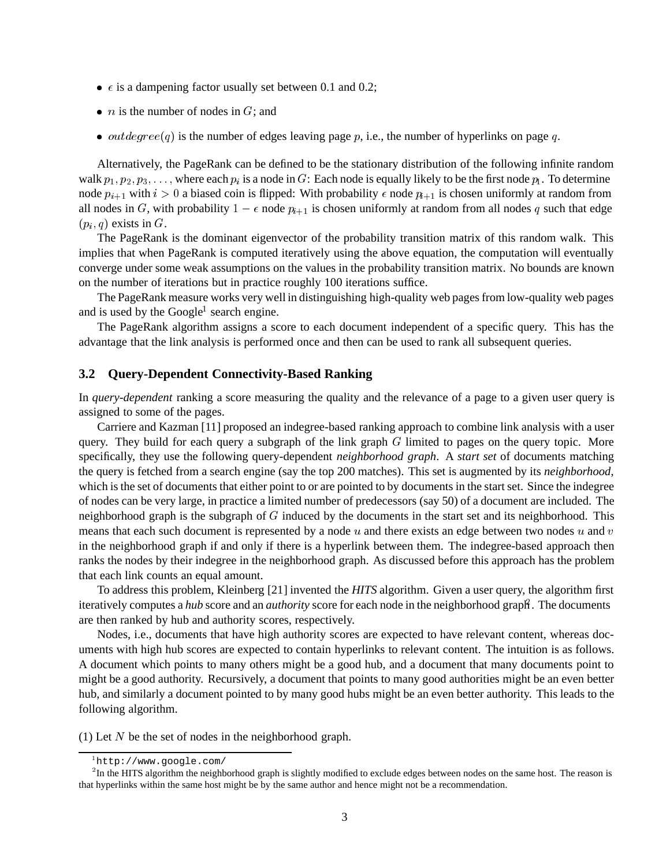- $\epsilon$  is a dampening factor usually set between 0.1 and 0.2;
- *n* is the number of nodes in  $G$ ; and
- *outdegree*(q) is the number of edges leaving page p, i.e., the number of hyperlinks on page q.

Alternatively, the PageRank can be defined to be the stationary distribution of the following infinite random walk  $p_1, p_2, p_3, \ldots$ , where each  $p_i$  is a node in G: Each node is equally likely to be the first node  $p_i$ . To determine node  $p_{i+1}$  with  $i > 0$  a biased coin is flipped: With probability  $\epsilon$  node  $p_{i+1}$  is chosen uniformly at random from all nodes in G, with probability  $1 - \epsilon$  node  $p_{i+1}$  is chosen uniformly at random from all nodes q such that edge  $(p_i, q)$  exists in G.

The PageRank is the dominant eigenvector of the probability transition matrix of this random walk. This implies that when PageRank is computed iteratively using the above equation, the computation will eventually converge under some weak assumptions on the values in the probability transition matrix. No bounds are known on the number of iterations but in practice roughly 100 iterations suffice.

The PageRank measure works very well in distinguishing high-quality web pages from low-quality web pages and is used by the Google<sup>1</sup> search engine.

The PageRank algorithm assigns a score to each document independent of a specific query. This has the advantage that the link analysis is performed once and then can be used to rank all subsequent queries.

#### **3.2 Query-Dependent Connectivity-Based Ranking**

In *query-dependent* ranking a score measuring the quality and the relevance of a page to a given user query is assigned to some of the pages.

Carriere and Kazman [11] proposed an indegree-based ranking approach to combine link analysis with a user query. They build for each query a subgraph of the link graph  $G$  limited to pages on the query topic. More specifically, they use the following query-dependent *neighborhood graph*. A *start set* of documents matching the query is fetched from a search engine (say the top 200 matches). This set is augmented by its *neighborhood*, which is the set of documents that either point to or are pointed to by documents in the start set. Since the indegree of nodes can be very large, in practice a limited number of predecessors (say 50) of a document are included. The neighborhood graph is the subgraph of  $G$  induced by the documents in the start set and its neighborhood. This means that each such document is represented by a node  $u$  and there exists an edge between two nodes  $u$  and  $v$ in the neighborhood graph if and only if there is a hyperlink between them. The indegree-based approach then ranks the nodes by their indegree in the neighborhood graph. As discussed before this approach has the problem that each link counts an equal amount.

To address this problem, Kleinberg [21] invented the *HITS* algorithm. Given a user query, the algorithm first iteratively computes a *hub* score and an *authority* score for each node in the neighborhood graph<sup>2</sup>. The documents are then ranked by hub and authority scores, respectively.

Nodes, i.e., documents that have high authority scores are expected to have relevant content, whereas documents with high hub scores are expected to contain hyperlinks to relevant content. The intuition is as follows. A document which points to many others might be a good hub, and a document that many documents point to might be a good authority. Recursively, a document that points to many good authorities might be an even better hub, and similarly a document pointed to by many good hubs might be an even better authority. This leads to the following algorithm.

(1) Let  $N$  be the set of nodes in the neighborhood graph.

http://www.google.com/

 ${}^{2}$ In the HITS algorithm the neighborhood graph is slightly modified to exclude edges between nodes on the same host. The reason is that hyperlinks within the same host might be by the same author and hence might not be a recommendation.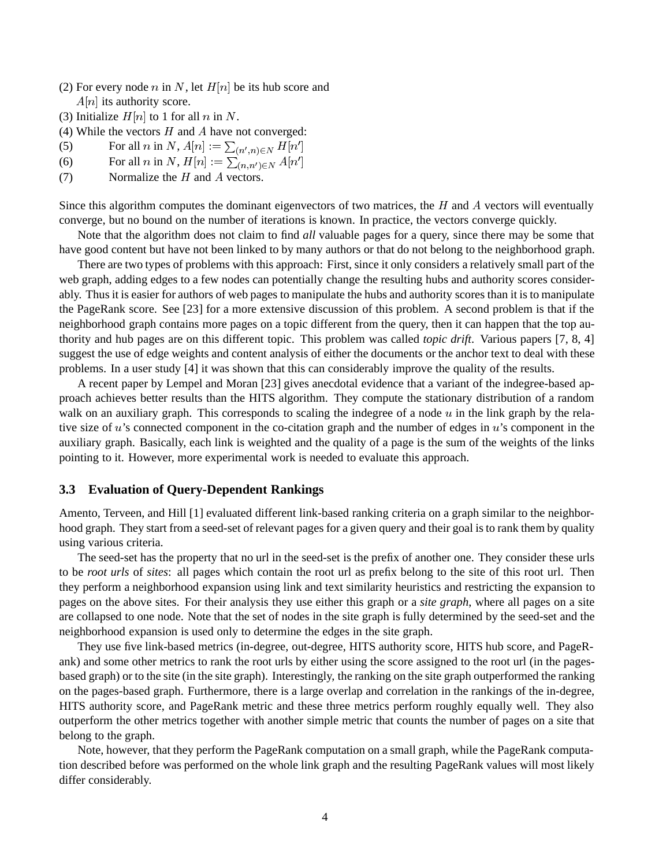- (2) For every node *n* in N, let  $H[n]$  be its hub score and  $A[n]$  its authority score.
- (3) Initialize  $H[n]$  to 1 for all n in N.
- (4) While the vectors  $H$  and  $A$  have not converged:
- (5) For all *n* in N,  $A[n] := \sum_{(n',n) \in N} H[n']$ and the contract of the contract of the contract of the contract of the contract of the contract of the contract of
- (6) For all n in N,  $H[n] := \sum_{(n,n') \in N} A[n']$ and the contract of the contract of the contract of the contract of the contract of the contract of the contract of
- (7) Normalize the  $H$  and  $A$  vectors.

Since this algorithm computes the dominant eigenvectors of two matrices, the  $H$  and  $A$  vectors will eventually converge, but no bound on the number of iterations is known. In practice, the vectors converge quickly.

Note that the algorithm does not claim to find *all* valuable pages for a query, since there may be some that have good content but have not been linked to by many authors or that do not belong to the neighborhood graph.

There are two types of problems with this approach: First, since it only considers a relatively small part of the web graph, adding edges to a few nodes can potentially change the resulting hubs and authority scores considerably. Thus it is easier for authors of web pages to manipulate the hubs and authority scores than it is to manipulate the PageRank score. See [23] for a more extensive discussion of this problem. A second problem is that if the neighborhood graph contains more pages on a topic different from the query, then it can happen that the top authority and hub pages are on this different topic. This problem was called *topic drift*. Various papers [7, 8, 4] suggest the use of edge weights and content analysis of either the documents or the anchor text to deal with these problems. In a user study [4] it was shown that this can considerably improve the quality of the results.

A recent paper by Lempel and Moran [23] gives anecdotal evidence that a variant of the indegree-based approach achieves better results than the HITS algorithm. They compute the stationary distribution of a random walk on an auxiliary graph. This corresponds to scaling the indegree of a node  $u$  in the link graph by the relative size of  $u$ 's connected component in the co-citation graph and the number of edges in  $u$ 's component in the auxiliary graph. Basically, each link is weighted and the quality of a page is the sum of the weights of the links pointing to it. However, more experimental work is needed to evaluate this approach.

#### **3.3 Evaluation of Query-Dependent Rankings**

Amento, Terveen, and Hill [1] evaluated different link-based ranking criteria on a graph similar to the neighborhood graph. They start from a seed-set of relevant pages for a given query and their goal is to rank them by quality using various criteria.

The seed-set has the property that no url in the seed-set is the prefix of another one. They consider these urls to be *root urls* of *sites*: all pages which contain the root url as prefix belong to the site of this root url. Then they perform a neighborhood expansion using link and text similarity heuristics and restricting the expansion to pages on the above sites. For their analysis they use either this graph or a *site graph*, where all pages on a site are collapsed to one node. Note that the set of nodes in the site graph is fully determined by the seed-set and the neighborhood expansion is used only to determine the edges in the site graph.

They use five link-based metrics (in-degree, out-degree, HITS authority score, HITS hub score, and PageRank) and some other metrics to rank the root urls by either using the score assigned to the root url (in the pagesbased graph) or to the site (in the site graph). Interestingly, the ranking on the site graph outperformed the ranking on the pages-based graph. Furthermore, there is a large overlap and correlation in the rankings of the in-degree, HITS authority score, and PageRank metric and these three metrics perform roughly equally well. They also outperform the other metrics together with another simple metric that counts the number of pages on a site that belong to the graph.

Note, however, that they perform the PageRank computation on a small graph, while the PageRank computation described before was performed on the whole link graph and the resulting PageRank values will most likely differ considerably.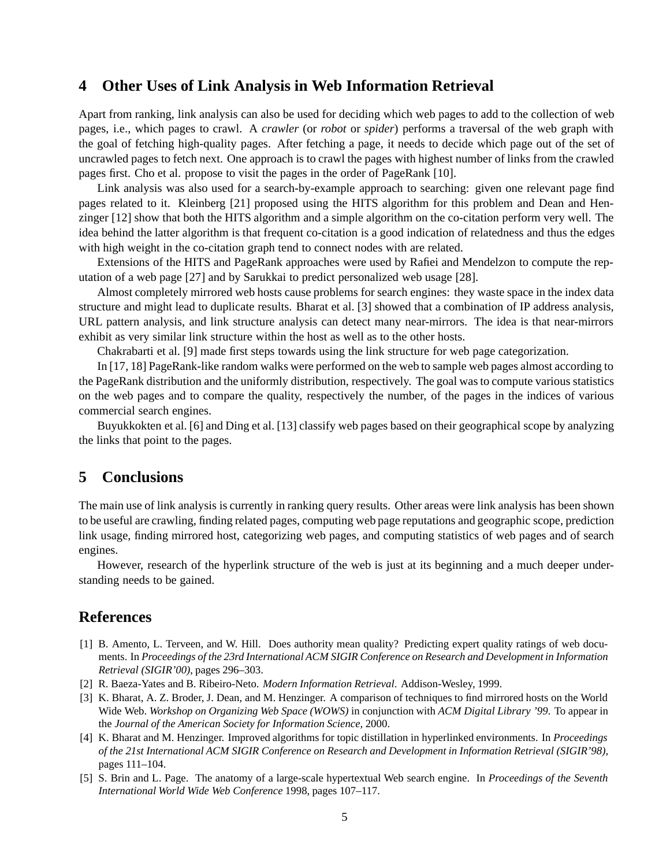### **4 Other Uses of Link Analysis in Web Information Retrieval**

Apart from ranking, link analysis can also be used for deciding which web pages to add to the collection of web pages, i.e., which pages to crawl. A *crawler* (or *robot* or *spider*) performs a traversal of the web graph with the goal of fetching high-quality pages. After fetching a page, it needs to decide which page out of the set of uncrawled pages to fetch next. One approach is to crawl the pages with highest number of links from the crawled pages first. Cho et al. propose to visit the pages in the order of PageRank [10].

Link analysis was also used for a search-by-example approach to searching: given one relevant page find pages related to it. Kleinberg [21] proposed using the HITS algorithm for this problem and Dean and Henzinger [12] show that both the HITS algorithm and a simple algorithm on the co-citation perform very well. The idea behind the latter algorithm is that frequent co-citation is a good indication of relatedness and thus the edges with high weight in the co-citation graph tend to connect nodes with are related.

Extensions of the HITS and PageRank approaches were used by Rafiei and Mendelzon to compute the reputation of a web page [27] and by Sarukkai to predict personalized web usage [28].

Almost completely mirrored web hosts cause problems for search engines: they waste space in the index data structure and might lead to duplicate results. Bharat et al. [3] showed that a combination of IP address analysis, URL pattern analysis, and link structure analysis can detect many near-mirrors. The idea is that near-mirrors exhibit as very similar link structure within the host as well as to the other hosts.

Chakrabarti et al. [9] made first steps towards using the link structure for web page categorization.

In [17, 18] PageRank-like random walks were performed on the web to sample web pages almost according to the PageRank distribution and the uniformly distribution, respectively. The goal was to compute various statistics on the web pages and to compare the quality, respectively the number, of the pages in the indices of various commercial search engines.

Buyukkokten et al. [6] and Ding et al. [13] classify web pages based on their geographical scope by analyzing the links that point to the pages.

# **5 Conclusions**

The main use of link analysis is currently in ranking query results. Other areas were link analysis has been shown to be useful are crawling, finding related pages, computing web page reputations and geographic scope, prediction link usage, finding mirrored host, categorizing web pages, and computing statistics of web pages and of search engines.

However, research of the hyperlink structure of the web is just at its beginning and a much deeper understanding needs to be gained.

### **References**

- [1] B. Amento, L. Terveen, and W. Hill. Does authority mean quality? Predicting expert quality ratings of web documents. In *Proceedings of the 23rd International ACM SIGIR Conference on Research and Development in Information Retrieval (SIGIR'00)*, pages 296–303.
- [2] R. Baeza-Yates and B. Ribeiro-Neto. *Modern Information Retrieval*. Addison-Wesley, 1999.
- [3] K. Bharat, A. Z. Broder, J. Dean, and M. Henzinger. A comparison of techniques to find mirrored hosts on the World Wide Web. *Workshop on Organizing Web Space (WOWS)* in conjunction with *ACM Digital Library '99*. To appear in the *Journal of the American Society for Information Science,* 2000.
- [4] K. Bharat and M. Henzinger. Improved algorithms for topic distillation in hyperlinked environments. In *Proceedings of the 21st International ACM SIGIR Conference on Research and Development in Information Retrieval (SIGIR'98)*, pages 111–104.
- [5] S. Brin and L. Page. The anatomy of a large-scale hypertextual Web search engine. In *Proceedings of the Seventh International World Wide Web Conference* 1998, pages 107–117.